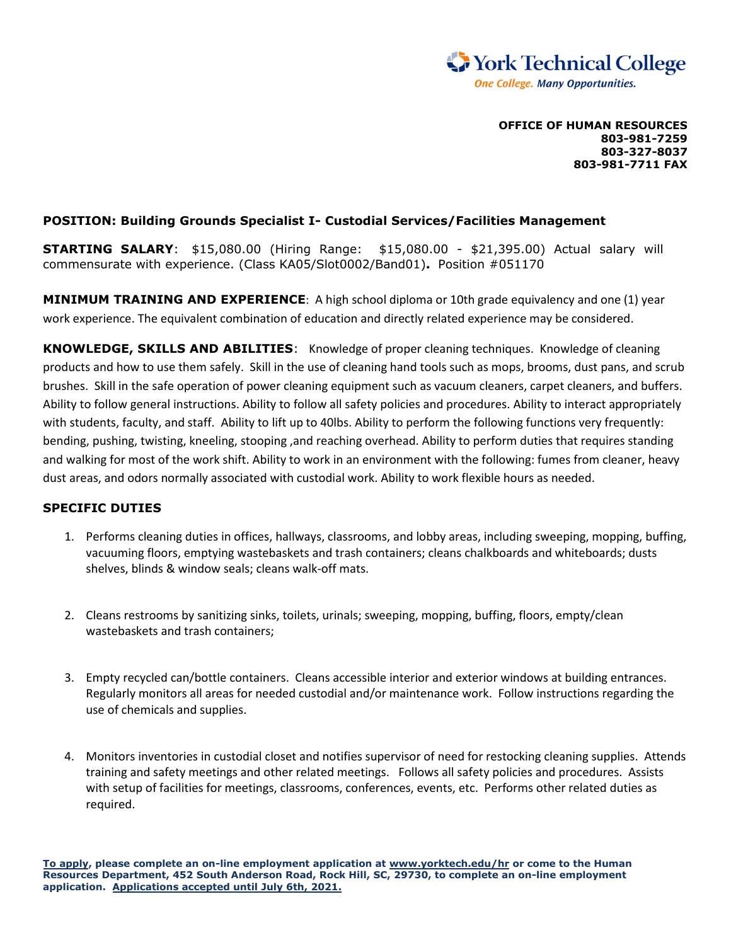

**OFFICE OF HUMAN RESOURCES 803-981-7259 803-327-8037 803-981-7711 FAX**

## **POSITION: Building Grounds Specialist I- Custodial Services/Facilities Management**

**STARTING SALARY**: \$15,080.00 (Hiring Range: \$15,080.00 - \$21,395.00) Actual salary will commensurate with experience. (Class KA05/Slot0002/Band01)**.** Position #051170

**MINIMUM TRAINING AND EXPERIENCE**: A high school diploma or 10th grade equivalency and one (1) year work experience. The equivalent combination of education and directly related experience may be considered.

**KNOWLEDGE, SKILLS AND ABILITIES**: Knowledge of proper cleaning techniques. Knowledge of cleaning products and how to use them safely. Skill in the use of cleaning hand tools such as mops, brooms, dust pans, and scrub brushes. Skill in the safe operation of power cleaning equipment such as vacuum cleaners, carpet cleaners, and buffers. Ability to follow general instructions. Ability to follow all safety policies and procedures. Ability to interact appropriately with students, faculty, and staff. Ability to lift up to 40lbs. Ability to perform the following functions very frequently: bending, pushing, twisting, kneeling, stooping ,and reaching overhead. Ability to perform duties that requires standing and walking for most of the work shift. Ability to work in an environment with the following: fumes from cleaner, heavy dust areas, and odors normally associated with custodial work. Ability to work flexible hours as needed.

## **SPECIFIC DUTIES**

- 1. Performs cleaning duties in offices, hallways, classrooms, and lobby areas, including sweeping, mopping, buffing, vacuuming floors, emptying wastebaskets and trash containers; cleans chalkboards and whiteboards; dusts shelves, blinds & window seals; cleans walk-off mats.
- 2. Cleans restrooms by sanitizing sinks, toilets, urinals; sweeping, mopping, buffing, floors, empty/clean wastebaskets and trash containers;
- 3. Empty recycled can/bottle containers. Cleans accessible interior and exterior windows at building entrances. Regularly monitors all areas for needed custodial and/or maintenance work. Follow instructions regarding the use of chemicals and supplies.
- 4. Monitors inventories in custodial closet and notifies supervisor of need for restocking cleaning supplies. Attends training and safety meetings and other related meetings. Follows all safety policies and procedures. Assists with setup of facilities for meetings, classrooms, conferences, events, etc. Performs other related duties as required.